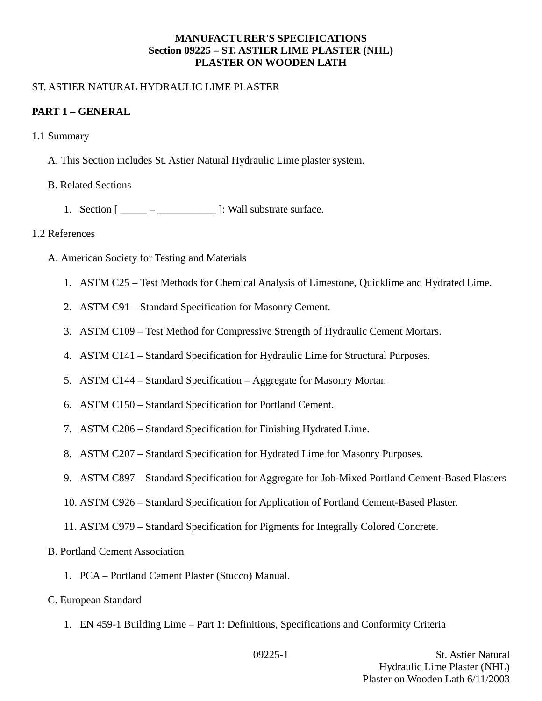### **MANUFACTURER'S SPECIFICATIONS Section 09225 – ST. ASTIER LIME PLASTER (NHL) PLASTER ON WOODEN LATH**

### ST. ASTIER NATURAL HYDRAULIC LIME PLASTER

### **PART 1 – GENERAL**

- 1.1 Summary
	- A. This Section includes St. Astier Natural Hydraulic Lime plaster system.
	- B. Related Sections
		- 1. Section  $[\underline{\hspace{1cm}}$   $\underline{\hspace{1cm}}$   $\underline{\hspace{1cm}}$  ]: Wall substrate surface.

### 1.2 References

- A. American Society for Testing and Materials
	- 1. ASTM C25 Test Methods for Chemical Analysis of Limestone, Quicklime and Hydrated Lime.
	- 2. ASTM C91 Standard Specification for Masonry Cement.
	- 3. ASTM C109 Test Method for Compressive Strength of Hydraulic Cement Mortars.
	- 4. ASTM C141 Standard Specification for Hydraulic Lime for Structural Purposes.
	- 5. ASTM C144 Standard Specification Aggregate for Masonry Mortar.
	- 6. ASTM C150 Standard Specification for Portland Cement.
	- 7. ASTM C206 Standard Specification for Finishing Hydrated Lime.
	- 8. ASTM C207 Standard Specification for Hydrated Lime for Masonry Purposes.
	- 9. ASTM C897 Standard Specification for Aggregate for Job-Mixed Portland Cement-Based Plasters
	- 10. ASTM C926 Standard Specification for Application of Portland Cement-Based Plaster.
	- 11. ASTM C979 Standard Specification for Pigments for Integrally Colored Concrete.
- B. Portland Cement Association
	- 1. PCA Portland Cement Plaster (Stucco) Manual.
- C. European Standard
	- 1. EN 459-1 Building Lime Part 1: Definitions, Specifications and Conformity Criteria

09225-1 St. Astier Natural Hydraulic Lime Plaster (NHL) Plaster on Wooden Lath 6/11/2003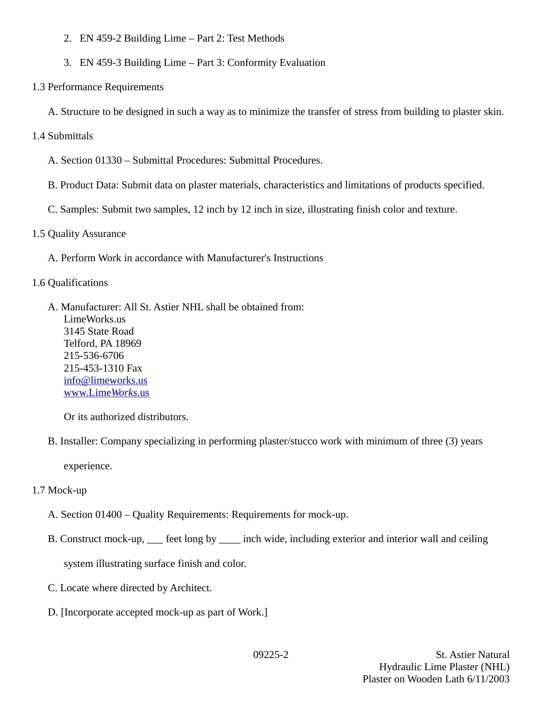- 2. EN 459-2 Building Lime Part 2: Test Methods
- 3. EN 459-3 Building Lime Part 3: Conformity Evaluation
- 1.3 Performance Requirements
	- A. Structure to be designed in such a way as to minimize the transfer of stress from building to plaster skin.
- 1.4 Submittals
	- A. Section 01330 Submittal Procedures: Submittal Procedures.
	- B. Product Data: Submit data on plaster materials, characteristics and limitations of products specified.
	- C. Samples: Submit two samples, 12 inch by 12 inch in size, illustrating finish color and texture.
- 1.5 Quality Assurance
	- A. Perform Work in accordance with Manufacturer's Instructions
- 1.6 Qualifications
	- A. Manufacturer: All St. Astier NHL shall be obtained from: LimeWorks.us 3145 State Road Telford, PA 18969 215-536-6706 215-453-1310 Fax [info@limeworks.us](mailto:info@limeworks.us)  [www.Lime](http://www.LimeWorks.us/) *[Works](http://www.LimeWorks.us/)*[.us](http://www.LimeWorks.us/)

Or its authorized distributors.

B. Installer: Company specializing in performing plaster/stucco work with minimum of three (3) years

experience.

- 1.7 Mock-up
	- A. Section 01400 Quality Requirements: Requirements for mock-up.
	- B. Construct mock-up, \_\_\_ feet long by \_\_\_\_ inch wide, including exterior and interior wall and ceiling

system illustrating surface finish and color.

- C. Locate where directed by Architect.
- D. [Incorporate accepted mock-up as part of Work.]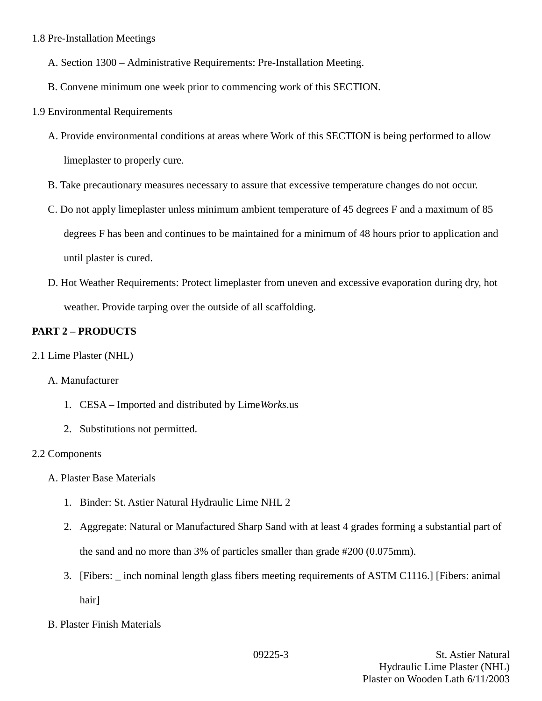### 1.8 Pre-Installation Meetings

- A. Section 1300 Administrative Requirements: Pre-Installation Meeting.
- B. Convene minimum one week prior to commencing work of this SECTION.
- 1.9 Environmental Requirements
	- A. Provide environmental conditions at areas where Work of this SECTION is being performed to allow limeplaster to properly cure.
	- B. Take precautionary measures necessary to assure that excessive temperature changes do not occur.
	- C. Do not apply limeplaster unless minimum ambient temperature of 45 degrees F and a maximum of 85 degrees F has been and continues to be maintained for a minimum of 48 hours prior to application and until plaster is cured.
	- D. Hot Weather Requirements: Protect limeplaster from uneven and excessive evaporation during dry, hot weather. Provide tarping over the outside of all scaffolding.

# **PART 2 – PRODUCTS**

2.1 Lime Plaster (NHL)

## A. Manufacturer

- 1. CESA Imported and distributed by Lime*Works*.us
- 2. Substitutions not permitted.

## 2.2 Components

- A. Plaster Base Materials
	- 1. Binder: St. Astier Natural Hydraulic Lime NHL 2
	- 2. Aggregate: Natural or Manufactured Sharp Sand with at least 4 grades forming a substantial part of the sand and no more than 3% of particles smaller than grade #200 (0.075mm).
	- 3. [Fibers: \_ inch nominal length glass fibers meeting requirements of ASTM C1116.] [Fibers: animal hair]
- B. Plaster Finish Materials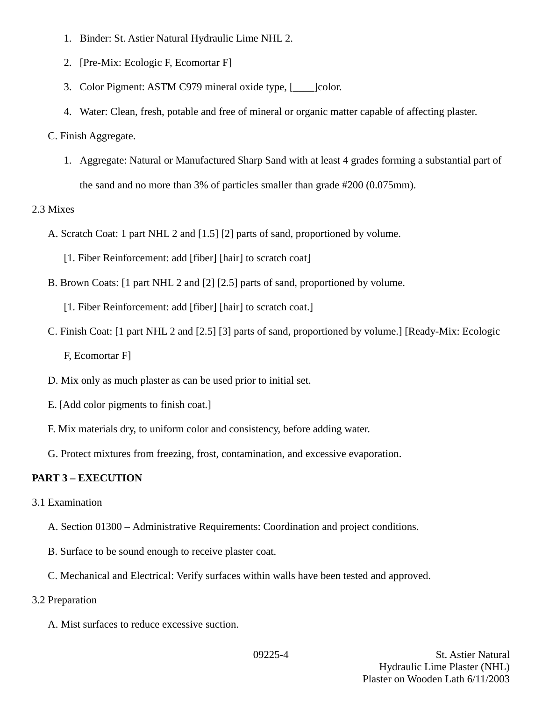- 1. Binder: St. Astier Natural Hydraulic Lime NHL 2.
- 2. [Pre-Mix: Ecologic F, Ecomortar F]
- 3. Color Pigment: ASTM C979 mineral oxide type, [\_\_\_\_]color.
- 4. Water: Clean, fresh, potable and free of mineral or organic matter capable of affecting plaster.

#### C. Finish Aggregate.

1. Aggregate: Natural or Manufactured Sharp Sand with at least 4 grades forming a substantial part of the sand and no more than 3% of particles smaller than grade #200 (0.075mm).

### 2.3 Mixes

- A. Scratch Coat: 1 part NHL 2 and [1.5] [2] parts of sand, proportioned by volume.
	- [1. Fiber Reinforcement: add [fiber] [hair] to scratch coat]
- B. Brown Coats: [1 part NHL 2 and [2] [2.5] parts of sand, proportioned by volume.

[1. Fiber Reinforcement: add [fiber] [hair] to scratch coat.]

C. Finish Coat: [1 part NHL 2 and [2.5] [3] parts of sand, proportioned by volume.] [Ready-Mix: Ecologic

F, Ecomortar F]

- D. Mix only as much plaster as can be used prior to initial set.
- E. [Add color pigments to finish coat.]
- F. Mix materials dry, to uniform color and consistency, before adding water.
- G. Protect mixtures from freezing, frost, contamination, and excessive evaporation.

## **PART 3 – EXECUTION**

- 3.1 Examination
	- A. Section 01300 Administrative Requirements: Coordination and project conditions.
	- B. Surface to be sound enough to receive plaster coat.
	- C. Mechanical and Electrical: Verify surfaces within walls have been tested and approved.
- 3.2 Preparation
	- A. Mist surfaces to reduce excessive suction.

09225-4 St. Astier Natural Hydraulic Lime Plaster (NHL) Plaster on Wooden Lath 6/11/2003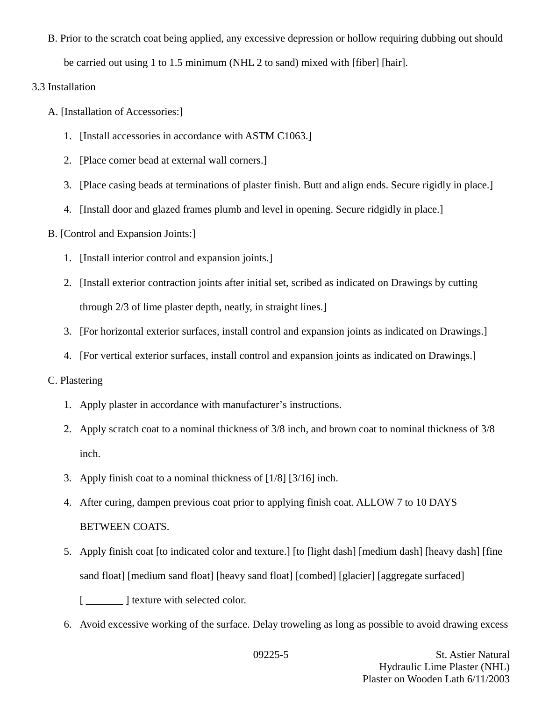B. Prior to the scratch coat being applied, any excessive depression or hollow requiring dubbing out should

be carried out using 1 to 1.5 minimum (NHL 2 to sand) mixed with [fiber] [hair].

### 3.3 Installation

- A. [Installation of Accessories:]
	- 1. [Install accessories in accordance with ASTM C1063.]
	- 2. [Place corner bead at external wall corners.]
	- 3. [Place casing beads at terminations of plaster finish. Butt and align ends. Secure rigidly in place.]
	- 4. [Install door and glazed frames plumb and level in opening. Secure ridgidly in place.]
- B. [Control and Expansion Joints:]
	- 1. [Install interior control and expansion joints.]
	- 2. [Install exterior contraction joints after initial set, scribed as indicated on Drawings by cutting through 2/3 of lime plaster depth, neatly, in straight lines.]
	- 3. [For horizontal exterior surfaces, install control and expansion joints as indicated on Drawings.]
	- 4. [For vertical exterior surfaces, install control and expansion joints as indicated on Drawings.]

### C. Plastering

- 1. Apply plaster in accordance with manufacturer's instructions.
- 2. Apply scratch coat to a nominal thickness of 3/8 inch, and brown coat to nominal thickness of 3/8 inch.
- 3. Apply finish coat to a nominal thickness of [1/8] [3/16] inch.
- 4. After curing, dampen previous coat prior to applying finish coat. ALLOW 7 to 10 DAYS BETWEEN COATS.
- 5. Apply finish coat [to indicated color and texture.] [to [light dash] [medium dash] [heavy dash] [fine sand float] [medium sand float] [heavy sand float] [combed] [glacier] [aggregate surfaced]

[  $\blacksquare$  ] texture with selected color.

6. Avoid excessive working of the surface. Delay troweling as long as possible to avoid drawing excess